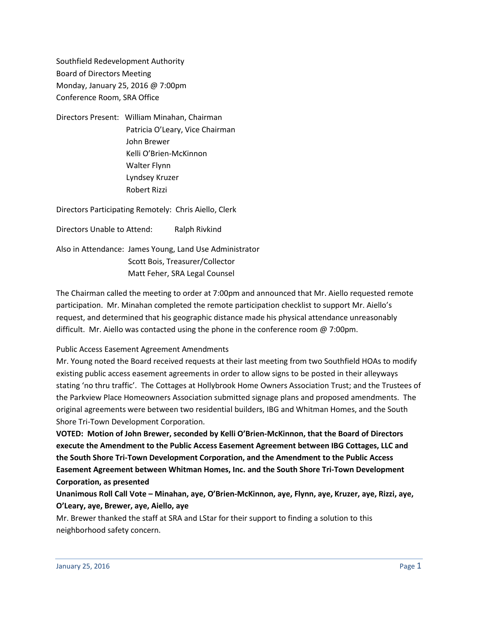Southfield Redevelopment Authority Board of Directors Meeting Monday, January 25, 2016 @ 7:00pm Conference Room, SRA Office

Directors Present: William Minahan, Chairman Patricia O'Leary, Vice Chairman John Brewer Kelli O'Brien-McKinnon Walter Flynn Lyndsey Kruzer Robert Rizzi

Directors Participating Remotely: Chris Aiello, Clerk

Directors Unable to Attend: Ralph Rivkind

Also in Attendance: James Young, Land Use Administrator Scott Bois, Treasurer/Collector Matt Feher, SRA Legal Counsel

The Chairman called the meeting to order at 7:00pm and announced that Mr. Aiello requested remote participation. Mr. Minahan completed the remote participation checklist to support Mr. Aiello's request, and determined that his geographic distance made his physical attendance unreasonably difficult. Mr. Aiello was contacted using the phone in the conference room @ 7:00pm.

## Public Access Easement Agreement Amendments

Mr. Young noted the Board received requests at their last meeting from two Southfield HOAs to modify existing public access easement agreements in order to allow signs to be posted in their alleyways stating 'no thru traffic'. The Cottages at Hollybrook Home Owners Association Trust; and the Trustees of the Parkview Place Homeowners Association submitted signage plans and proposed amendments. The original agreements were between two residential builders, IBG and Whitman Homes, and the South Shore Tri-Town Development Corporation.

**VOTED: Motion of John Brewer, seconded by Kelli O'Brien-McKinnon, that the Board of Directors execute the Amendment to the Public Access Easement Agreement between IBG Cottages, LLC and the South Shore Tri-Town Development Corporation, and the Amendment to the Public Access Easement Agreement between Whitman Homes, Inc. and the South Shore Tri-Town Development Corporation, as presented**

**Unanimous Roll Call Vote – Minahan, aye, O'Brien-McKinnon, aye, Flynn, aye, Kruzer, aye, Rizzi, aye, O'Leary, aye, Brewer, aye, Aiello, aye**

Mr. Brewer thanked the staff at SRA and LStar for their support to finding a solution to this neighborhood safety concern.